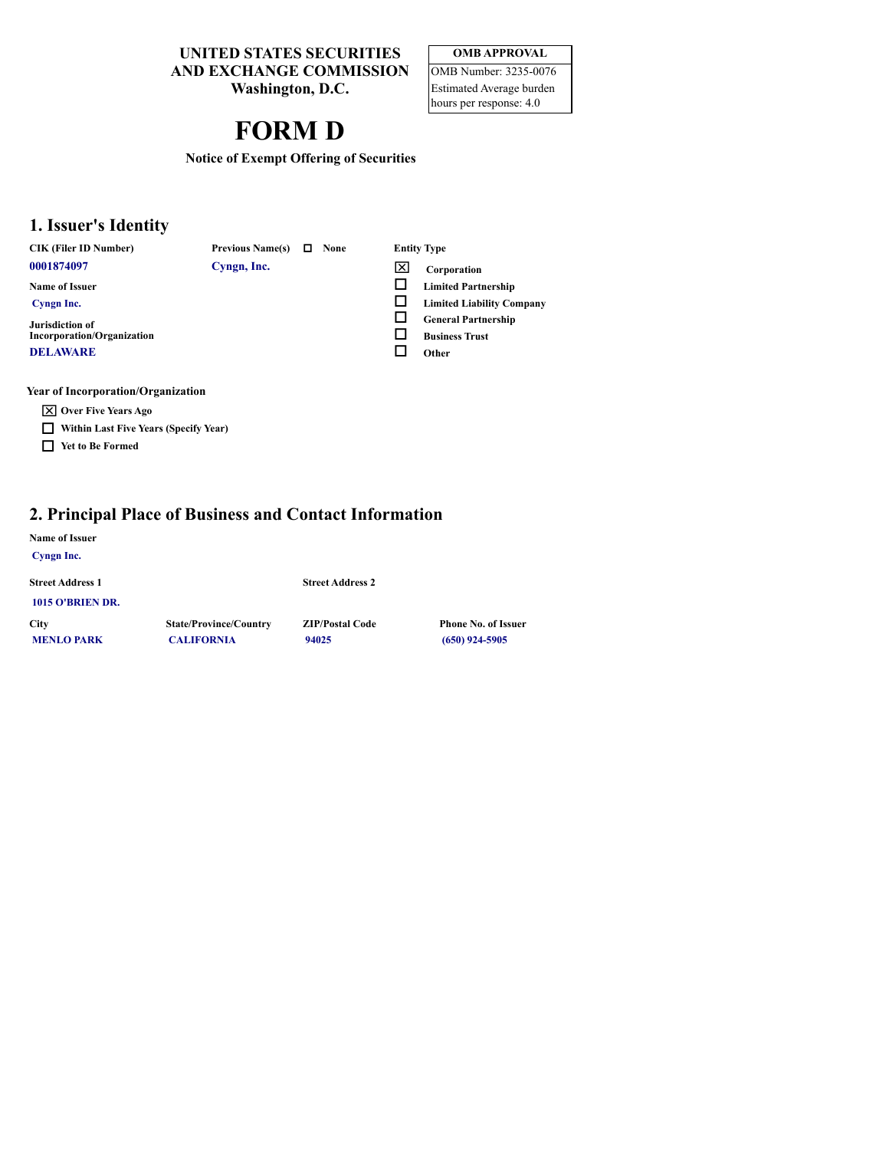**UNITED STATES SECURITIES AND EXCHANGE COMMISSION**

**Washington, D.C.**

# **FORM D**

| <b>OMB APPROVAL</b>      |
|--------------------------|
| OMB Number: 3235-0076    |
| Estimated Average burden |

hours per response: 4.0

**Notice of Exempt Offering of Securities**

#### **1. Issuer's Identity**

| <b>CIK (Filer ID Number)</b> |  |
|------------------------------|--|
| 0001874097                   |  |

**Name of Issuer Cyngn Inc. Jurisdiction of**

**0001874097 Cyngn, Inc. IX Corporation** 

**CIK CIK CIK CIK Entity Type** 

- 
- $\Box$  Limited Partnership
- o **Limited Liability Company**
- o **General Partnership**
- o **Business Trust**
- □ Other

**DELAWARE**

#### **Year of Incorporation/Organization**

x **Over Five Years Ago**

**Incorporation/Organization**

- o **Within Last Five Years (Specify Year)**
- o **Yet to Be Formed**

#### **2. Principal Place of Business and Contact Information**

#### **Name of Issuer**

| Cyngn Inc.                       |                                                    |                                 |                                                |
|----------------------------------|----------------------------------------------------|---------------------------------|------------------------------------------------|
| <b>Street Address 1</b>          |                                                    | <b>Street Address 2</b>         |                                                |
| 1015 O'BRIEN DR.                 |                                                    |                                 |                                                |
| <b>City</b><br><b>MENLO PARK</b> | <b>State/Province/Country</b><br><b>CALIFORNIA</b> | <b>ZIP/Postal Code</b><br>94025 | <b>Phone No. of Issuer</b><br>$(650)$ 924-5905 |
|                                  |                                                    |                                 |                                                |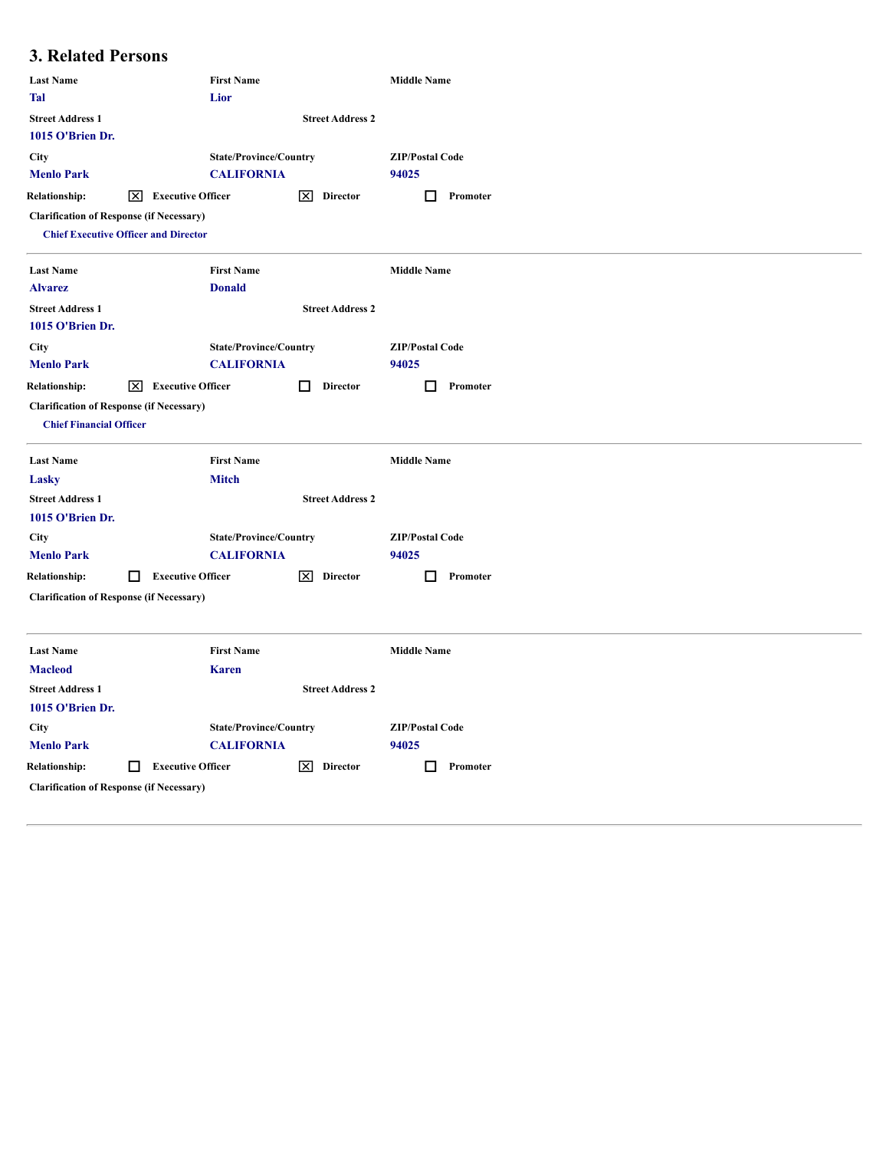### **3. Related Persons**

| <b>Last Name</b>                                                                  |     |                          | <b>First Name</b>             |   |                         | <b>Middle Name</b>     |          |
|-----------------------------------------------------------------------------------|-----|--------------------------|-------------------------------|---|-------------------------|------------------------|----------|
| <b>Tal</b>                                                                        |     |                          | Lior                          |   |                         |                        |          |
| <b>Street Address 1</b><br>1015 O'Brien Dr.                                       |     |                          |                               |   | <b>Street Address 2</b> |                        |          |
| <b>City</b>                                                                       |     |                          | <b>State/Province/Country</b> |   |                         | <b>ZIP/Postal Code</b> |          |
| <b>Menlo Park</b>                                                                 |     |                          | <b>CALIFORNIA</b>             |   |                         | 94025                  |          |
| <b>Relationship:</b>                                                              | Ι×Ι | <b>Executive Officer</b> |                               |   | $ \mathsf{X} $ Director | H                      | Promoter |
| <b>Clarification of Response (if Necessary)</b>                                   |     |                          |                               |   |                         |                        |          |
| <b>Chief Executive Officer and Director</b>                                       |     |                          |                               |   |                         |                        |          |
| <b>Last Name</b>                                                                  |     |                          | <b>First Name</b>             |   |                         | <b>Middle Name</b>     |          |
| <b>Alvarez</b>                                                                    |     |                          | <b>Donald</b>                 |   |                         |                        |          |
| <b>Street Address 1</b>                                                           |     |                          |                               |   | <b>Street Address 2</b> |                        |          |
| 1015 O'Brien Dr.                                                                  |     |                          |                               |   |                         |                        |          |
| City                                                                              |     |                          | <b>State/Province/Country</b> |   |                         | <b>ZIP/Postal Code</b> |          |
| <b>Menlo Park</b>                                                                 |     |                          | <b>CALIFORNIA</b>             |   |                         | 94025                  |          |
| <b>Relationship:</b>                                                              | ⊠   | <b>Executive Officer</b> |                               | □ | <b>Director</b>         | IJ                     | Promoter |
| <b>Clarification of Response (if Necessary)</b><br><b>Chief Financial Officer</b> |     |                          |                               |   |                         |                        |          |
| <b>Last Name</b>                                                                  |     |                          | <b>First Name</b>             |   |                         | <b>Middle Name</b>     |          |
| Lasky                                                                             |     |                          | <b>Mitch</b>                  |   |                         |                        |          |
| <b>Street Address 1</b>                                                           |     |                          |                               |   | <b>Street Address 2</b> |                        |          |
| 1015 O'Brien Dr.                                                                  |     |                          |                               |   |                         |                        |          |
| <b>City</b>                                                                       |     |                          | <b>State/Province/Country</b> |   |                         | <b>ZIP/Postal Code</b> |          |
| <b>Menlo Park</b>                                                                 |     |                          | <b>CALIFORNIA</b>             |   |                         | 94025                  |          |
| <b>Relationship:</b>                                                              | □   | <b>Executive Officer</b> |                               | ⊠ | <b>Director</b>         | П                      | Promoter |
| <b>Clarification of Response (if Necessary)</b>                                   |     |                          |                               |   |                         |                        |          |
| <b>Last Name</b>                                                                  |     |                          | <b>First Name</b>             |   |                         | <b>Middle Name</b>     |          |
| <b>Macleod</b>                                                                    |     |                          | <b>Karen</b>                  |   |                         |                        |          |
| <b>Street Address 1</b>                                                           |     |                          |                               |   | <b>Street Address 2</b> |                        |          |
| 1015 O'Brien Dr.                                                                  |     |                          |                               |   |                         |                        |          |
| City                                                                              |     |                          | <b>State/Province/Country</b> |   |                         | <b>ZIP/Postal Code</b> |          |
| <b>Menlo Park</b>                                                                 |     |                          | <b>CALIFORNIA</b>             |   |                         | 94025                  |          |
| <b>Relationship:</b>                                                              | □   | <b>Executive Officer</b> |                               | ⊠ | <b>Director</b>         | Ш                      | Promoter |
| <b>Clarification of Response (if Necessary)</b>                                   |     |                          |                               |   |                         |                        |          |
|                                                                                   |     |                          |                               |   |                         |                        |          |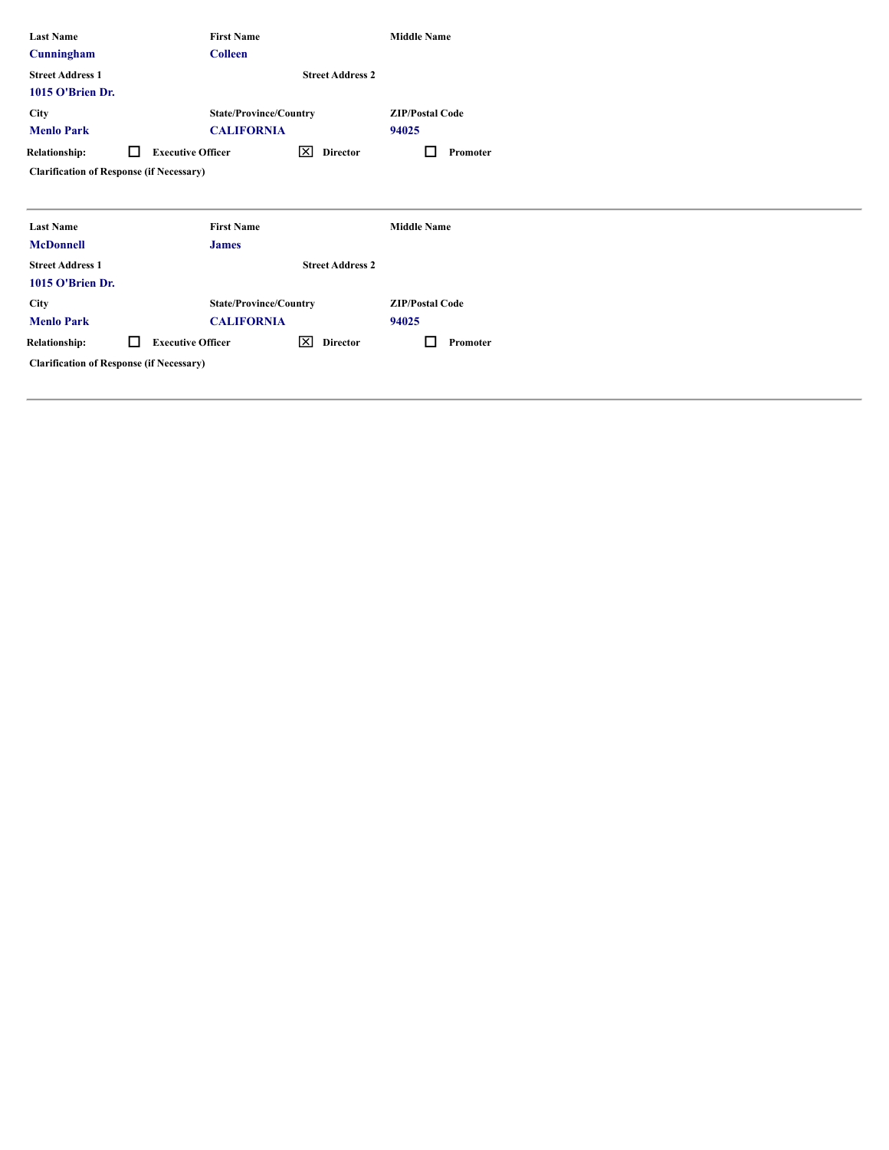| <b>Last Name</b><br>Cunningham                  |        | <b>First Name</b><br><b>Colleen</b>                |                          | <b>Middle Name</b>              |
|-------------------------------------------------|--------|----------------------------------------------------|--------------------------|---------------------------------|
| <b>Street Address 1</b><br>1015 O'Brien Dr.     |        |                                                    | <b>Street Address 2</b>  |                                 |
| <b>City</b><br><b>Menlo Park</b>                |        | <b>State/Province/Country</b><br><b>CALIFORNIA</b> |                          | <b>ZIP/Postal Code</b><br>94025 |
| <b>Relationship:</b>                            | $\Box$ | <b>Executive Officer</b>                           | ⊠<br>Director            | Promoter                        |
| <b>Clarification of Response (if Necessary)</b> |        |                                                    |                          |                                 |
|                                                 |        |                                                    |                          |                                 |
| <b>Last Name</b>                                |        | <b>First Name</b>                                  |                          | <b>Middle Name</b>              |
| <b>McDonnell</b>                                |        | <b>James</b>                                       |                          |                                 |
| <b>Street Address 1</b>                         |        |                                                    | <b>Street Address 2</b>  |                                 |
| 1015 O'Brien Dr.                                |        |                                                    |                          |                                 |
| <b>City</b>                                     |        | <b>State/Province/Country</b>                      |                          | <b>ZIP/Postal Code</b>          |
| <b>Menlo Park</b>                               |        | <b>CALIFORNIA</b>                                  |                          | 94025                           |
| <b>Relationship:</b>                            | $\Box$ | <b>Executive Officer</b>                           | $\mathsf{X}$<br>Director | Promoter                        |
| <b>Clarification of Response (if Necessary)</b> |        |                                                    |                          |                                 |
|                                                 |        |                                                    |                          |                                 |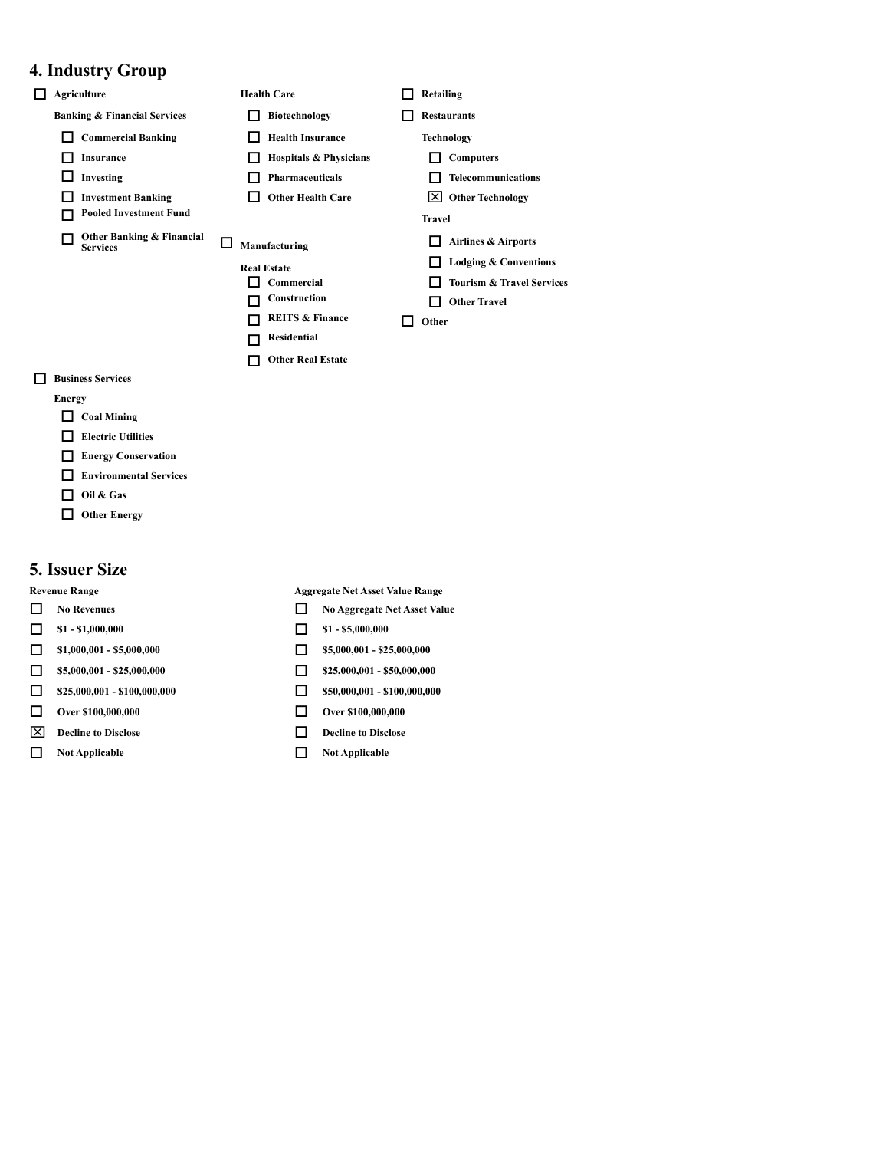#### **4. Industry Group**

- □ Agriculture **Bealth Care D** Retailing **Banking & Financial Services D Biotechnology D Restaurants** o **Commercial Banking** o **Health Insurance Technology** o **Insurance** o **Hospitals & Physicians** o **Computers** o **Investing** o **Pharmaceuticals** o **Telecommunications** □ Investment Banking □ Other Health Care **X** Other Technology o **Pooled Investment Fund Travel** o **Other Banking & Financial Services** o **Manufacturing** o **Airlines & Airports Real Estate Conventions**  $\Box$  Commercial  $\Box$  Tourism & Travel Services<br>  $\Box$  Construction  $\Box$  Other Travel  $\Box$  Other Travel o **REITS & Finance** o **Other** o **Residential**  $\Box$  Other Real Estate o **Business Services**
- **Energy**  $\Box$  Coal Mining
	- $\Box$  **Electric** Utilities
	- **Energy Conservation**
	- o **Environmental Services**
	- o **Oil & Gas**
	- $\Box$  Other Energy

#### **5. Issuer Size**

- 
- **1 c s1 -** \$1,000,000 **d s1 -** \$1,000,000
- **1 51,000,001 -** \$5,000,000 **6 55,000,001 525,000,000**
- **0 55,000,001 - \$25,000,000 0 1 525,000,000 1 550,000,000**
- **c 525,000,001 -** \$100,000,000 **c 550,000,001 - \$100,000,000**
- $\Box$  Over \$100,000,000  $\Box$  Over \$100,000,000
- $\boxed{\times}$  **Decline to Disclose o Disclose o Disclose**
- **O** Not Applicable **D** Not Applicable

**Revenue Range Aggregate Net Asset Value Range**

- o **No Revenues** o **No Aggregate Net Asset Value**
	-
	-
	-
	-

- 
-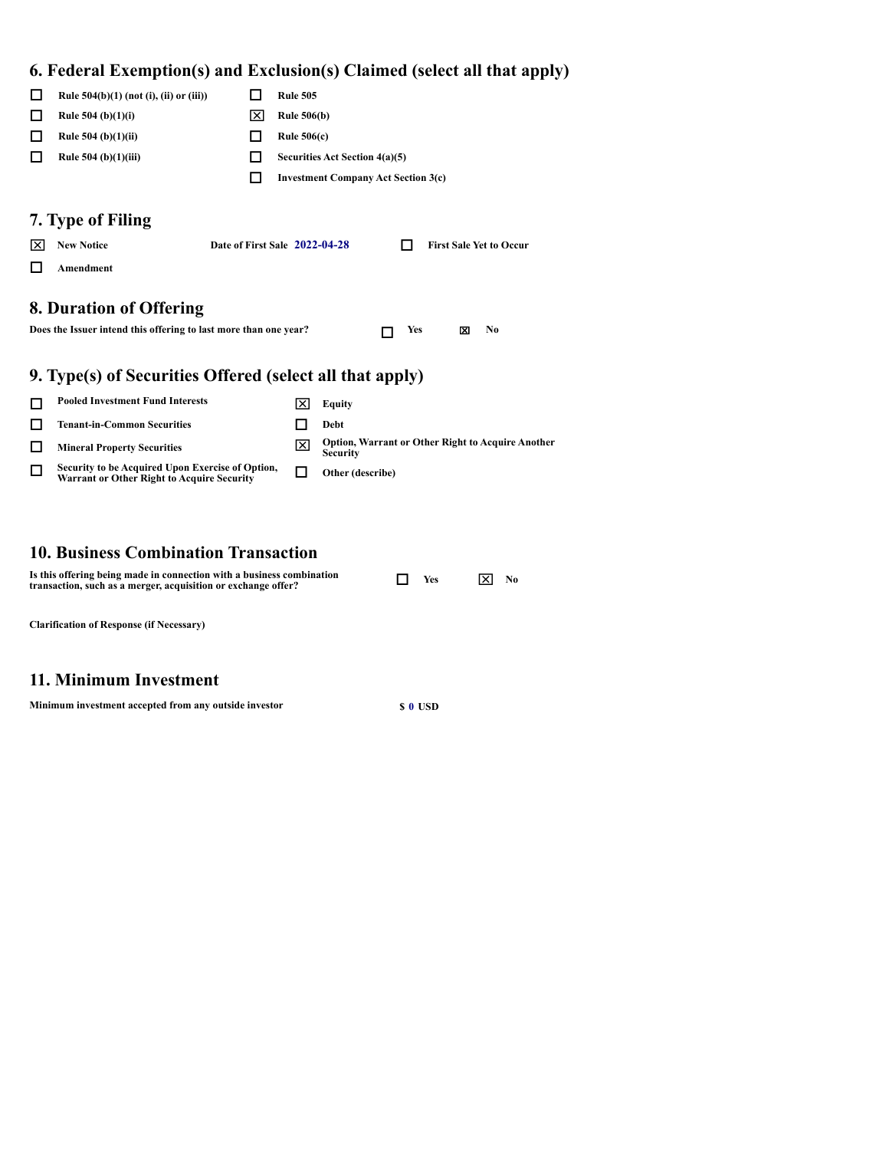# **6. Federal Exemption(s) and Exclusion(s) Claimed (select all that apply)**

|    | Rule 504(b)(1) (not (i), (ii) or (iii))                                                               | ΙI                            | <b>Rule 505</b>    |                                                                             |
|----|-------------------------------------------------------------------------------------------------------|-------------------------------|--------------------|-----------------------------------------------------------------------------|
| ΙI | Rule $504$ (b)(1)(i)                                                                                  | ×                             | <b>Rule 506(b)</b> |                                                                             |
|    | Rule 504 (b) $(1)(ii)$                                                                                | ΙI                            | Rule $506(c)$      |                                                                             |
|    | Rule $504$ (b) $(1)(iii)$                                                                             | ΙI                            |                    | Securities Act Section 4(a)(5)                                              |
|    |                                                                                                       | LΙ                            |                    | <b>Investment Company Act Section 3(c)</b>                                  |
|    |                                                                                                       |                               |                    |                                                                             |
|    | 7. Type of Filing                                                                                     |                               |                    |                                                                             |
| ᢂ  | <b>New Notice</b>                                                                                     | Date of First Sale 2022-04-28 |                    | <b>First Sale Yet to Occur</b>                                              |
|    | Amendment                                                                                             |                               |                    |                                                                             |
|    |                                                                                                       |                               |                    |                                                                             |
|    | 8. Duration of Offering                                                                               |                               |                    |                                                                             |
|    | Does the Issuer intend this offering to last more than one year?                                      |                               |                    | Yes<br>No.<br>冈                                                             |
|    |                                                                                                       |                               |                    |                                                                             |
|    | 9. Type(s) of Securities Offered (select all that apply)                                              |                               |                    |                                                                             |
| П  | <b>Pooled Investment Fund Interests</b>                                                               |                               | ᢂ                  | <b>Equity</b>                                                               |
| П  | <b>Tenant-in-Common Securities</b>                                                                    |                               | П                  | Debt                                                                        |
| П  | <b>Mineral Property Securities</b>                                                                    |                               | ⊠                  | <b>Option, Warrant or Other Right to Acquire Another</b><br><b>Security</b> |
| П  | Security to be Acquired Upon Exercise of Option,<br><b>Warrant or Other Right to Acquire Security</b> |                               | П                  | Other (describe)                                                            |
|    |                                                                                                       |                               |                    |                                                                             |

#### **10. Business Combination Transaction**

| Is this offering being made in connection with a business combination<br>transaction, such as a merger, acquisition or exchange offer? | <b>Yes</b> | No. |
|----------------------------------------------------------------------------------------------------------------------------------------|------------|-----|
| <b>Clarification of Response (if Necessary)</b>                                                                                        |            |     |

#### **11. Minimum Investment**

| Minimum investment accepted from any outside investor | s o usp |
|-------------------------------------------------------|---------|
|-------------------------------------------------------|---------|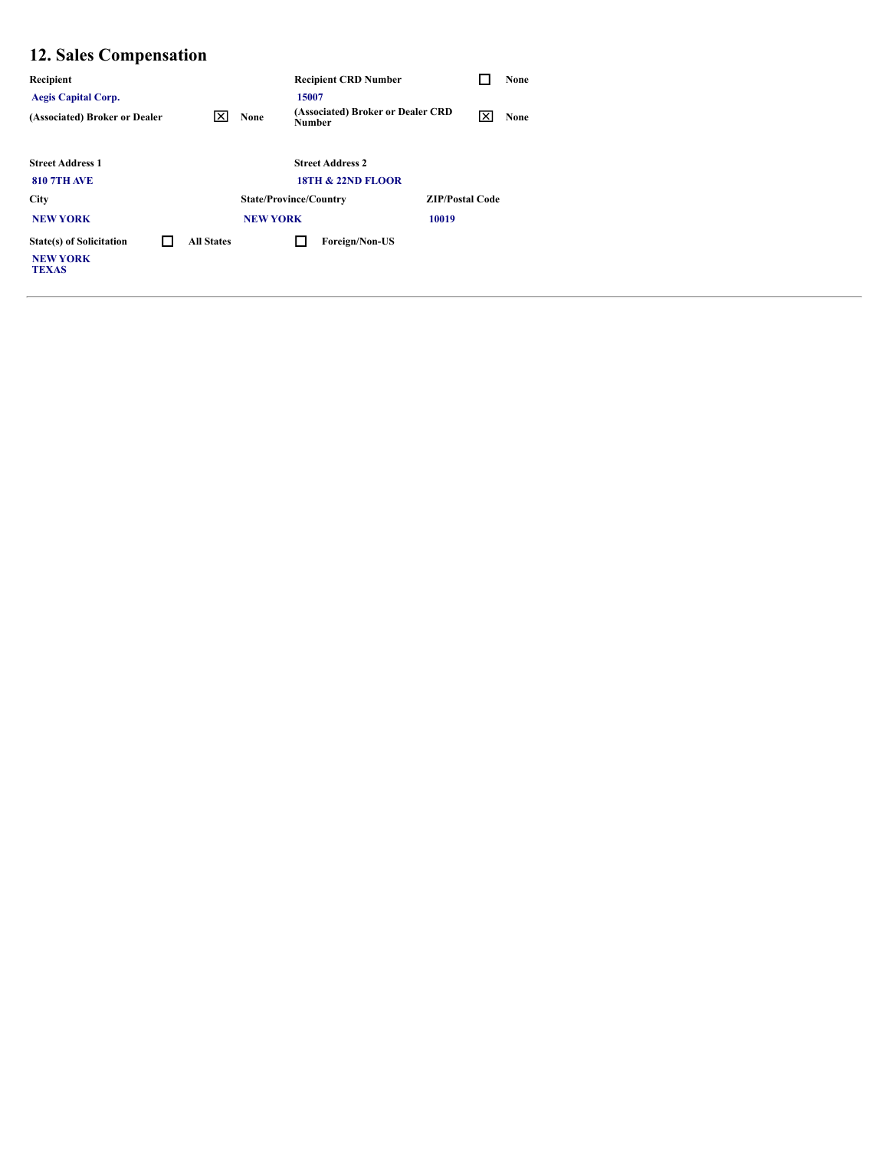# **12. Sales Compensation**

| Recipient                                                          |                   |                               |               | <b>Recipient CRD Number</b>       |                        | None |
|--------------------------------------------------------------------|-------------------|-------------------------------|---------------|-----------------------------------|------------------------|------|
| <b>Aegis Capital Corp.</b>                                         |                   |                               | 15007         |                                   |                        |      |
| (Associated) Broker or Dealer                                      | Ι×Ι               | None                          | <b>Number</b> | (Associated) Broker or Dealer CRD | l×l                    | None |
|                                                                    |                   |                               |               |                                   |                        |      |
| <b>Street Address 1</b>                                            |                   |                               |               | <b>Street Address 2</b>           |                        |      |
| <b>810 7TH AVE</b>                                                 |                   |                               |               | <b>18TH &amp; 22ND FLOOR</b>      |                        |      |
| <b>City</b>                                                        |                   | <b>State/Province/Country</b> |               |                                   | <b>ZIP/Postal Code</b> |      |
| <b>NEW YORK</b>                                                    |                   | <b>NEW YORK</b>               |               |                                   | 10019                  |      |
| <b>State(s) of Solicitation</b><br><b>NEW YORK</b><br><b>TEXAS</b> | <b>All States</b> |                               |               | Foreign/Non-US                    |                        |      |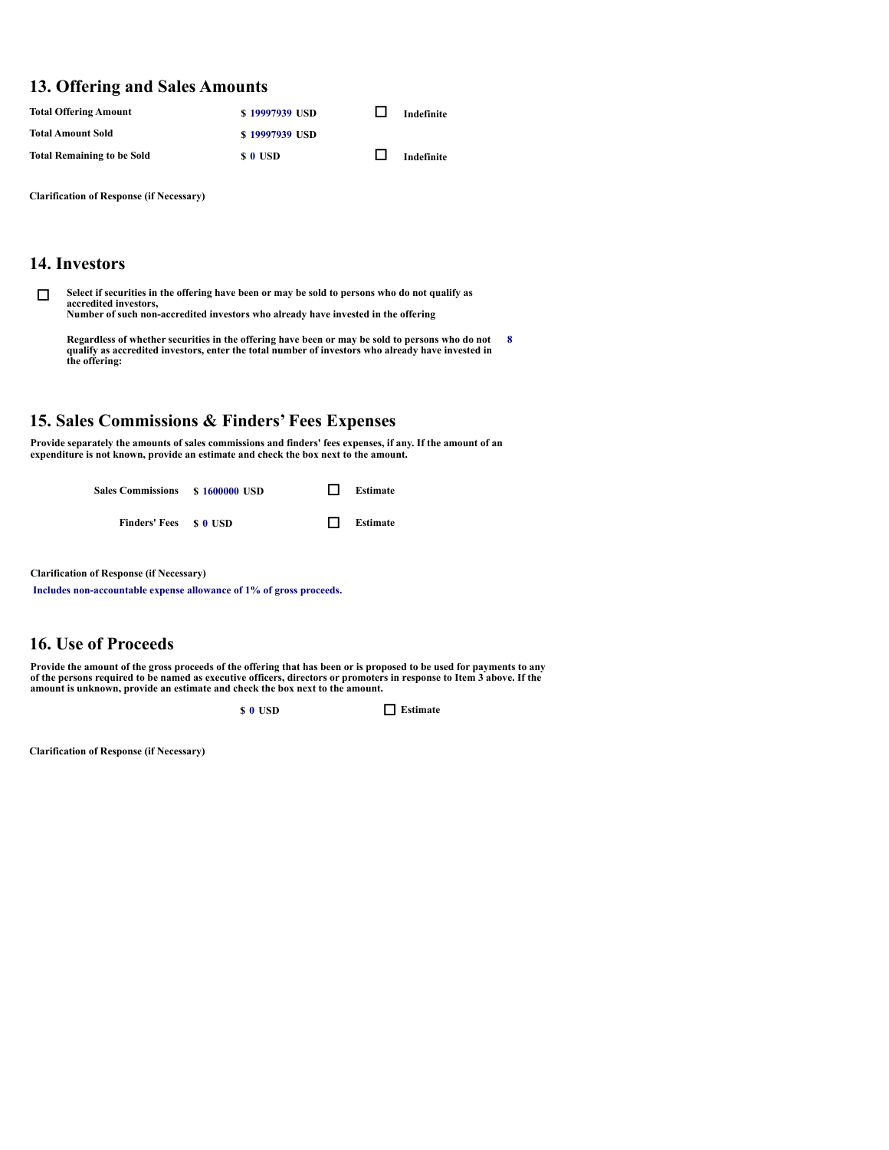#### **13. Offering and Sales Amounts**

| <b>Total Offering Amount</b>      | \$19997939 USD | Indefinite |
|-----------------------------------|----------------|------------|
| <b>Total Amount Sold</b>          | \$19997939 USD |            |
| <b>Total Remaining to be Sold</b> | s o usd        | Indefinite |

**Clarification of Response (if Necessary)**

#### **14. Investors**

Select if securities in the offering have been or may be sold to persons who do not qualify as **accredited investors, Number of such non-accredited investors who already have invested in the offering**

Regardless of whether securities in the offering have been or may be sold to persons who do not<br>qualify as accredited investors, enter the total number of investors who already have invested in<br>the offering: **8**

#### **15. Sales Commissions & Finders' Fees Expenses**

Provide separately the amounts of sales commissions and finders' fees expenses, if any. If the amount of an<br>expenditure is not known, provide an estimate and check the box next to the amount.

**Sales Commissions \$ <sup>1600000</sup> USD** o **Estimate Finders' Fees \$ <sup>0</sup> USD** o **Estimate**

**Clarification of Response (if Necessary)**

**Includes non-accountable expense allowance of 1% of gross proceeds.**

#### **16. Use of Proceeds**

Provide the amount of the gross proceeds of the offering that has been or is proposed to be used for payments to any of the persons required to be named as executive officers, directors or promoters in response to Item 3 above. If the **amount is unknown, provide an estimate and check the box next to the amount.**

**s 0 USD Estimate** 

**Clarification of Response (if Necessary)**